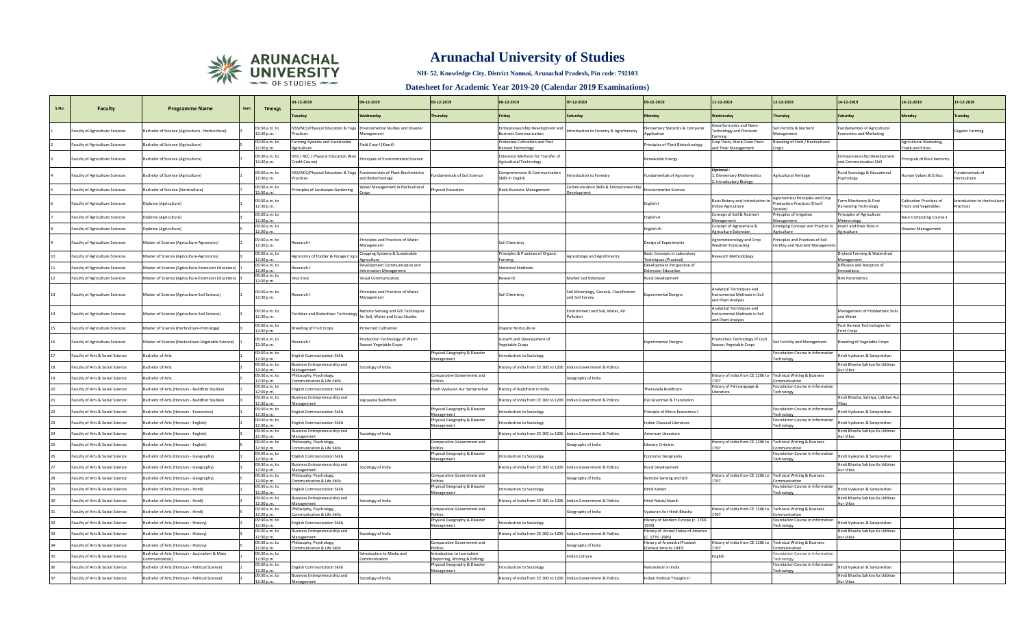

**NH- 52, Knowledge City, District Namsai, Arunachal Pradesh, Pin code: 792103**

| S.No |                                             |                                                               |                               | 03-12-2019                                           | 04-12-2019                                                                                                    | 05-12-2019                                                 | 06-12-2019                                                          | 07-12-2019                                                  | 09-12-2019                                                    | 11-12-2019                                                                      | 12-12-2019                                                             | 14-12-2019                                                     | 16-12-2019                                         | 17-12-2019                             |
|------|---------------------------------------------|---------------------------------------------------------------|-------------------------------|------------------------------------------------------|---------------------------------------------------------------------------------------------------------------|------------------------------------------------------------|---------------------------------------------------------------------|-------------------------------------------------------------|---------------------------------------------------------------|---------------------------------------------------------------------------------|------------------------------------------------------------------------|----------------------------------------------------------------|----------------------------------------------------|----------------------------------------|
|      | <b>Faculty</b>                              | <b>Programme Name</b>                                         | <b>Timings</b>                |                                                      | <b>Nednesda</b>                                                                                               | <b>ursday</b>                                              | Friday                                                              | Saturda                                                     |                                                               |                                                                                 | Thursday                                                               |                                                                |                                                    | Tuesday                                |
|      | <b>Faculty of Agriculture Sciences</b>      | Bachelor of Science (Agriculture - Horticulture)              | 09:30 a.m. to<br>12:30 p.m.   | ractices                                             | ISS/NCC/Physical Education & Yoga Environmental Studies and Disaster<br>Management                            |                                                            | Entrepreneurship Development and<br><b>Business Communication</b>   | Introduction to Forestry & Agroforestry                     | lementary Statistics & Computer<br>Application                | Geoinformatics and Nano<br><b>Technology and Precision</b><br>arming            | Soil Fertility & Nutrient<br>Management                                | undamentals of Agricultural<br><b>Economics and Marketing</b>  |                                                    | Organic Farming                        |
|      | Faculty of Agriculture Sciences             | achelor of Science (Agriculture)                              | 09:30 a.m. to<br>2:30 p.m     | arming Systems and Sustainable<br>rriculture         | Field Crop-I (Kharif)                                                                                         |                                                            | Protected Cultivation and Post<br><b>Harvest Technology</b>         |                                                             | Principles of Plant Biotechnology                             | Crop Pests, Store Grain Pests<br>and Their Management                           | Breeding of Field / Horticultural                                      |                                                                | Agricultural Marketing,<br><b>Trade and Price:</b> |                                        |
|      | Faculty of Agriculture Sciences             | sachelor of Science (Agriculture)                             | $09:30 a.m.$ to<br>12:30 p.m. | ISS / NCC / Physical Education (Non<br>redit Course) | Principals of Environmental Science                                                                           |                                                            | Extension Methods for Transfer of<br><b>Agricultural Technology</b> |                                                             | Renewable Energy                                              |                                                                                 |                                                                        | <b>Entrepreneurship Development</b><br>and Communication Skill | Principals of Bio-Chemistr                         |                                        |
|      | <b>Faculty of Agriculture Sciences</b>      | Bachelor of Science (Agriculture)                             | 09:30 a.m. to<br>12:30 p.m.   | ractices                                             | SS/NCC/Physical Education & Yoga Fundamentals of Plant Biochemistry<br>and Biotechnology                      | undamentals of Soil Science                                | omprehension & Communication<br>Skills in English                   | <b>Itroduction to Forestry</b>                              | Fundamentals of Agronomy                                      | Optional<br>1. Elementary Mathematics<br>2. Introductory Biology                | Agricultural Heritage                                                  | Rural Sociology & Educational<br>Psychology                    | Iuman Values & Ethics                              | undamentals of<br>Horticulture         |
|      | <b>Faculty of Agriculture Sciences</b>      | Bachelor of Science (Horticulture)                            | 09:30 a.m. to<br>2:30 p.m.    | inciples of Landscape Gardening                      | Water Management in Horticultural                                                                             | Physical Education                                         | Horti-Business Management                                           | Communication Skills & Entrepreneurship<br>Jevelopment      | <b>Environmental Science</b>                                  |                                                                                 |                                                                        |                                                                |                                                    |                                        |
|      | <b>Faculty of Agriculture Sciences</b>      | iploma (Agriculture)                                          | 09:30 a.m. to<br>12:30 p.m.   |                                                      |                                                                                                               |                                                            |                                                                     |                                                             | English-                                                      | Basic Botany and Introduction t<br>Indian Agriculture                           | Agronomical Principles and Crop<br><b>Production Practices (Kharif</b> | arm Machinery & Post<br><b>Harvesting Technology</b>           | ultivation Practices of<br>Fruits and Vegetables   | roduction to Horticulture<br>Practices |
|      | Faculty of Agriculture Sciences             | ploma (Agriculture)                                           | 09:30 a.m. to<br>2:30 p.m.    |                                                      |                                                                                                               |                                                            |                                                                     |                                                             | English-II                                                    | Concept of Soil & Nutrient<br>Management                                        | rinciples of Irrigation<br>Management                                  | Principles of Agriculture<br><b>Aeteorology</b>                | <b>Basic Computing Course-</b>                     |                                        |
|      | Faculty of Agriculture Sciences             | iploma (Agriculture)                                          | 09:30 a.m. to<br>2:30 p.m.    |                                                      |                                                                                                               |                                                            |                                                                     |                                                             | English-III                                                   | Concept of Agroservice &<br><b>Agriculture Extension</b>                        | <b>Emerging Concept and Practice in</b><br>Agriculture                 | Insect and their Role in<br>Agriculture                        | Disaster Management                                |                                        |
|      | Faculty of Agriculture Sciences             | Aaster of Science (Agriculture-Agronomy)                      | 09:30 a.m. to<br>12:30 p.m.   | esearch-I                                            | inciples and Practices of Water<br>Management                                                                 |                                                            | Soil Chemistry                                                      |                                                             | Design of Experiments                                         | grometeorology and Crop<br><b>Weather Forecasting</b>                           | rinciples and Practices of Soil<br>Fertility and Nutrient Manageme     |                                                                |                                                    |                                        |
|      | Faculty of Agriculture Sciences             | faster of Science (Agriculture-Agronomy)                      | 09:30 a.m. to<br>2:30 p.m.    | gronomy of Fodder & Forage Crops                     | Cropping Systems & Sustainable<br>Agriculture                                                                 |                                                            | Principles & Practices of Organic<br>Farming                        | Agrostology and Agroforestry                                | Basic Concepts in Laboratory<br><b>Fechniques (Practical)</b> | Research Methodology                                                            |                                                                        | Dryland Farming & Watershed<br>Management                      |                                                    |                                        |
|      | Faculty of Agriculture Sciences             | Aaster of Science (Agriculture-Extension Education)           | 09:30 a.m. to<br>2:30 p.m.    | esearch-l                                            | Development Communication and<br><b>Information Management</b>                                                |                                                            | <b>Statistical Method:</b>                                          |                                                             | Development Perspective of<br><b>Extension Education</b>      |                                                                                 |                                                                        | Diffusion and Adoption of<br>novations                         |                                                    |                                        |
|      | Faculty of Agriculture Sciences             | faster of Science (Agriculture-Extension Education)           | 09:30 a.m. to<br>2:30 p.m.    | liva Voce                                            | <b>Visual Communication</b>                                                                                   |                                                            | Research                                                            | Market Led Extension                                        | Rural Development                                             |                                                                                 |                                                                        | <b>Non Parametrics</b>                                         |                                                    |                                        |
|      | <b>Faculty of Agriculture Sciences</b>      | Master of Science (Agriculture-Soil Science)                  | 09:30 a.m. to<br>12:30 p.m.   | esearch-I                                            | Principles and Practices of Water<br>Management                                                               |                                                            | Soil Chemistry                                                      | Soil Mineralogy, Genesis, Classification<br>and Soil Survey | <b>Experimental Designs</b>                                   | Analytical Techniques and<br>Instrumental Methods in Soil<br>and Plant Analysis |                                                                        |                                                                |                                                    |                                        |
|      | <b>Faculty of Agriculture Sciences</b>      | Master of Science (Agriculture-Soil Science)                  | 09:30 a.m. to<br>12:30 p.m.   |                                                      | Remote Sensing and GIS Techniques<br>ertilizer and Biofertlizer Technology   for Soil, Water and Crop Studies |                                                            |                                                                     | Environment and Soil, Water, Air<br>Pollution               |                                                               | Analytical Techniques and<br>nstrumental Methods in Soil<br>and Plant Analysis  |                                                                        | Management of Problematic Soils<br>and Water                   |                                                    |                                        |
|      | aculty of Agriculture Sciences              | faster of Science (Horticulture-Pomology)                     | 09:30 a.m. to<br>2:30 p.m.    | eeding of Fruit Crops                                | Protected Cultivation                                                                                         |                                                            | Organic Horticulture                                                |                                                             |                                                               |                                                                                 |                                                                        | Post Harvest Technologies for<br>ruit Crops                    |                                                    |                                        |
|      | <b>Faculty of Agriculture Sciences</b>      | Master of Science (Horticulture-Vegetable Science)            | 09:30 a.m. to<br>12:30 p.m.   | esearch-I                                            | Production Technology of Warm<br>Season Vegetable Crops                                                       |                                                            | Growth and Development of<br><b>Vegetable Crops</b>                 |                                                             | <b>Experimental Designs</b>                                   | roduction Technology of Cool<br>Season Vegetable Crops                          | Soil Fertility and Management                                          | <b>Breeding of Vegetable Crops</b>                             |                                                    |                                        |
|      | Faculty of Arts & Social Science            | achelor of Arts                                               | 09:30 a.m. to<br>2:30 p.m.    | nglish Communication Skills                          |                                                                                                               | Physical Geography & Disaster<br>Management                | <b>Introduction to Sociology</b>                                    |                                                             |                                                               |                                                                                 | Foundation Course in Information<br>'echnology                         | Hindi Vyakaran & Sampreshan                                    |                                                    |                                        |
|      | aculty of Arts & Social Science             | achelor of Arts                                               | 09:30 a.m. to<br>2:30 p.m.    | siness Entrepreneurship and<br>lanagement            | ociology of India                                                                                             |                                                            | History of India from CE 300 to 1206 Indian Government & Politics   |                                                             |                                                               |                                                                                 |                                                                        | lindi Bhasha Sahitva Ka Udbhav<br>Aur Vikas                    |                                                    |                                        |
|      | Faculty of Arts & Social Science            | achelor of Arts                                               | 09:30 a.m. to<br>2:30 p.m.    | ilosophy, Psychology,<br>mmunication & Life Skills   |                                                                                                               | Comparative Government and<br>olitics                      |                                                                     | Geography of India                                          |                                                               | History of India from CE 1206 to Technical Writing & Business<br>1707           | Communication                                                          |                                                                |                                                    |                                        |
|      | aculty of Arts & Social Science             | achelor of Arts (Honours - Buddhist Studies)                  | 09:30 a.m. to<br>12:30 p.m.   | nglish Communication Skills                          |                                                                                                               | lindi Vyakaran Aur Sampreshan                              | History of Buddhism in India                                        |                                                             | heravada Buddhism                                             | History of Pali Language &<br>literature                                        | Foundation Course in Information<br><b>Fechnology</b>                  |                                                                |                                                    |                                        |
|      | Faculty of Arts & Social Science            | achelor of Arts (Honours - Buddhist Studies)                  | 09:30 a.m. to<br>2:30 p.m.    | siness Entrepreneurship and<br><b>lanagement</b>     | Vajrayana Buddhism                                                                                            |                                                            | History of India from CE 300 to 1206 Indian Government & Politics   |                                                             | Pali Grammar & Translation                                    |                                                                                 |                                                                        | Hindi Bhasha, Sahitya, Udbhav Aur                              |                                                    |                                        |
|      | Faculty of Arts & Social Science            | Bachelor of Arts (Honours - Economics)                        | 09:30 a.m. to<br>12:30 p.m.   | nglish Communication Skills                          |                                                                                                               | Physical Geography & Disaster<br>Management                | <b>Introduction to Sociology</b>                                    |                                                             | rinciple of Micro Economics-                                  |                                                                                 | Foundation Course in Information<br><b>Fechnology</b>                  | Hindi Vyakaran & Sampreshan                                    |                                                    |                                        |
|      | Faculty of Arts & Social Science            | Bachelor of Arts (Honours - English)                          | 09:30 a.m. to<br>2:30 p.m.    | nglish Communication Skills                          |                                                                                                               | Physical Geography & Disaster<br>Management                | Introduction to Sociology                                           |                                                             | ndian Classical Literature                                    |                                                                                 | Foundation Course in Information<br>echnology                          | lindi Vyakaran & Sampreshan                                    |                                                    |                                        |
|      | Faculty of Arts & Social Science            | sachelor of Arts (Honours - English)                          | 09:30 a.m. to<br>2:30 p.m.    | siness Entrepreneurship and<br><b>lanagement</b>     | ociology of India                                                                                             |                                                            | History of India from CE 300 to 1206 Indian Government & Politics   |                                                             | American Literature                                           |                                                                                 |                                                                        | Hindi Bhasha Sahitya Ka Udbhay<br>ur Vikas                     |                                                    |                                        |
|      | Faculty of Arts & Social Science            | achelor of Arts (Honours - English)                           | 09:30 a.m. to<br>12:30 p.m.   | ilosophy, Psychology<br>nmunication & Life Skills    |                                                                                                               | Comparative Government and                                 |                                                                     | Seography of India                                          | iterary Criticism                                             | History of India from CE 1206 to Technical Writing & Business<br>1707           | ommunication                                                           |                                                                |                                                    |                                        |
|      | Faculty of Arts & Social Science            | achelor of Arts (Honours - Geography)                         | 09:30 a.m. to<br>2:30 p.m.    | nglish Communication Skills                          |                                                                                                               | Physical Geography & Disaster<br>Management                | Introduction to Sociology                                           |                                                             | Economic Geography                                            |                                                                                 | Foundation Course in Information<br><b>Fechnology</b>                  | Hindi Vyakaran & Sampreshan                                    |                                                    |                                        |
|      | aculty of Arts & Social Science             | achelor of Arts (Honours - Geography)                         | 09:30 a.m. to<br>2:30 p.m.    | siness Entrepreneurship and<br>anagement             | ociology of India                                                                                             |                                                            | History of India from CE 300 to 1206   Indian Government & Politics |                                                             | Rural Development                                             |                                                                                 |                                                                        | Hindi Bhasha Sahitya Ka Udbhav<br>ur Vikas                     |                                                    |                                        |
|      | <b>Faculty of Arts &amp; Social Science</b> | sachelor of Arts (Honours - Geography)                        | 09:30 a.m. to<br>2:30 p.m.    | ilosophy, Psychology,<br>mmunication & Life Skills   |                                                                                                               | Comparative Government and<br>olitics                      |                                                                     | Geography of India                                          | Remote Sensing and GIS                                        | History of India from CE 1206 to Technical Writing & Business<br>1707           | Communication                                                          |                                                                |                                                    |                                        |
|      | Faculty of Arts & Social Science            | sachelor of Arts (Honours - Hindi)                            | 09:30 a.m. to<br>12:30 p.m.   | nglish Communication Skills                          |                                                                                                               | Physical Geography & Disaster<br>Management                | Introduction to Sociology                                           |                                                             | Hindi Kahani                                                  |                                                                                 | Foundation Course in Information<br><b>Fechnology</b>                  | Hindi Vyakaran & Sampreshan                                    |                                                    |                                        |
|      | aculty of Arts & Social Science             | achelor of Arts (Honours - Hindi)                             | 09:30 a.m. to<br>2:30 p.m.    | siness Entrepreneurship and<br><b>lanagement</b>     | ociology of India                                                                                             |                                                            | History of India from CE 300 to 1206 Indian Government & Politics   |                                                             | lindi Natak/Akanki                                            |                                                                                 |                                                                        | Hindi Bhasha Sahitya Ka Udbhav<br>ur Vikas                     |                                                    |                                        |
|      | Faculty of Arts & Social Science            | achelor of Arts (Honours - Hindi)                             | 09:30 a.m. to<br>2:30 p.m.    | ilosophy, Psychology<br>mmunication & Life Skills    |                                                                                                               | Comparative Government and                                 |                                                                     | Geography of India                                          | Vyakaran Aur Hindi Bhasha                                     | History of India from CE 1206 to Technical Writing & Business                   | Communication                                                          |                                                                |                                                    |                                        |
|      | Faculty of Arts & Social Science            | achelor of Arts (Honours - History)                           | 09:30 a.m. to<br>12:30 p.m.   | nglish Communication Skills                          |                                                                                                               | Physical Geography & Disaster<br>Management                | Introduction to Sociology                                           |                                                             | listory of Modern Europe (c. 1780-<br>19391                   |                                                                                 | Foundation Course in Information<br>'echnology                         | Hindi Vyakaran & Sampreshan                                    |                                                    |                                        |
|      | Faculty of Arts & Social Science            | sachelor of Arts (Honours - History)                          | 09:30 a.m. to<br>12:30 p.m.   | siness Entrepreneurship and<br><b>Aanagement</b>     | Sociology of India                                                                                            |                                                            | History of India from CE 300 to 1206 Indian Government & Politics   |                                                             | listory of United States of America<br>$(C. 1776 - 1945)$     |                                                                                 |                                                                        | Hindi Bhasha Sahitya Ka Udbhav<br>ur Vikas                     |                                                    |                                        |
|      | Faculty of Arts & Social Science            | Bachelor of Arts (Honours - History)                          | 09:30 a.m. to<br>12:30 p.m.   | hilosophy, Psychology<br>ommunication & Life Skills  |                                                                                                               | Comparative Government and<br>olitic:                      |                                                                     | Geography of India                                          | History of Arunachal Pradesh<br>Earliest time to 1947)        | History of India from CE 1206 to Technical Writing & Business<br>1707           | Communication                                                          |                                                                |                                                    |                                        |
|      | Faculty of Arts & Social Science            | Bachelor of Arts (Honours - Journalism & Mass<br>nmunication) | 09:30 a.m. to<br>2:30 p.m.    |                                                      | Introduction to Media and<br>mmunicatior                                                                      | ntroduction to Journalism<br>Reporting, Writing & Editing) |                                                                     | Indian Culture                                              |                                                               | English                                                                         | oundation Course in Information                                        |                                                                |                                                    |                                        |
|      | Faculty of Arts & Social Science            | Bachelor of Arts (Honours - Political Science)                | 09:30 a.m. to<br>2:30 p.m.    | nglish Communication Skills                          |                                                                                                               | Physical Geography & Disaster<br><b>Aanagement</b>         | Introduction to Sociology                                           |                                                             | Nationalism in India                                          |                                                                                 | Foundation Course in Information<br>echnology                          | lindi Vyakaran & Sampreshan                                    |                                                    |                                        |
|      | aculty of Arts & Social Science             | achelor of Arts (Honours - Political Science)                 | 09:30 a.m. to<br>12:30 p.m.   | usiness Entrepreneurship and<br>lanagement           | ociology of India                                                                                             |                                                            | History of India from CE 300 to 1206 Indian Government & Politics   |                                                             | ndian Political Thought-II                                    |                                                                                 |                                                                        | lindi Bhasha Sahitya Ka Udbhav<br>Aur Vikas                    |                                                    |                                        |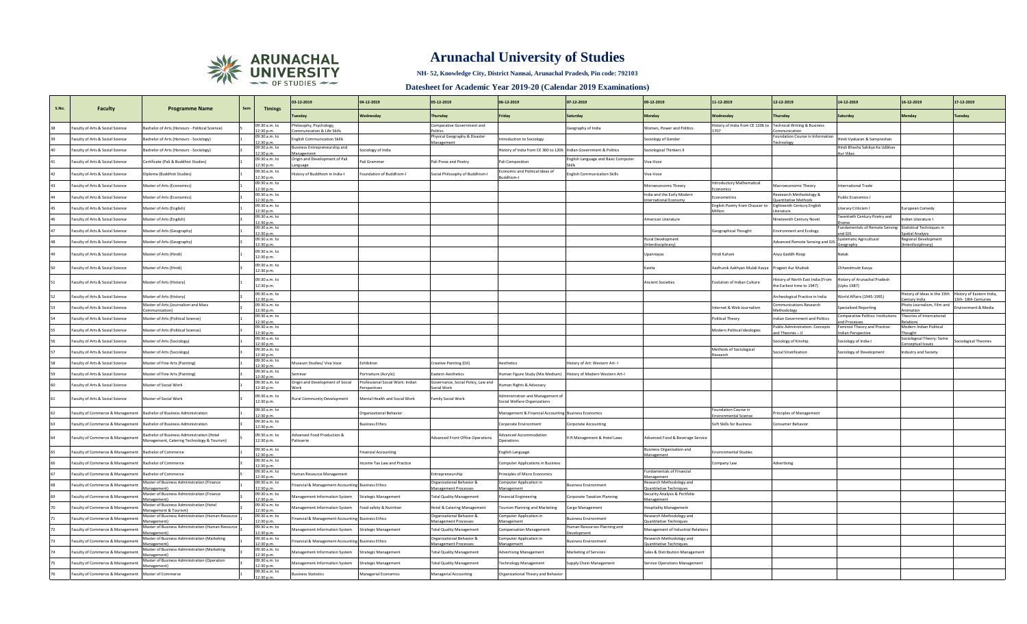

**NH- 52, Knowledge City, District Namsai, Arunachal Pradesh, Pin code: 792103**

| S.No | Faculty                          | <b>Programme Name</b>                                                                    |                                           | 03-12-2019                                       | 04-12-2019                                            | 05-12-2019                                                     | 06-12-2019                                                        | 07-12-2019                          | 09-12-2019                                                      | 11-12-2019                                 | 12-12-2019                                                                    | 14-12-2019                                                        | 16-12-2019                                       | 17-12-2019                                                                   |
|------|----------------------------------|------------------------------------------------------------------------------------------|-------------------------------------------|--------------------------------------------------|-------------------------------------------------------|----------------------------------------------------------------|-------------------------------------------------------------------|-------------------------------------|-----------------------------------------------------------------|--------------------------------------------|-------------------------------------------------------------------------------|-------------------------------------------------------------------|--------------------------------------------------|------------------------------------------------------------------------------|
|      |                                  |                                                                                          | <b>Timings</b>                            |                                                  | Vednesday                                             | hursdav                                                        | ridav                                                             | Saturday                            |                                                                 | <b>/ednesday</b>                           | <b>Thursday</b>                                                               | Saturday                                                          |                                                  | <b>Tuesday</b>                                                               |
|      | Faculty of Arts & Social Science | Bachelor of Arts (Honours - Political Science)                                           | 09:30 a.m. to<br>2:30 p.m.                | osophy, Psychology<br>mmunication & Life Skills  |                                                       | Comparative Government and<br><b>Politics</b>                  |                                                                   | Geography of India                  | <b>Nomen, Power and Politics</b>                                | 707                                        | History of India from CE 1206 to Technical Writing & Business<br>ommunication |                                                                   |                                                  |                                                                              |
|      | Faculty of Arts & Social Science | sachelor of Arts (Honours - Sociology)                                                   | 09:30 a.m. to<br>2:30 p.m.                | inglish Communication Skills                     |                                                       | Physical Geography & Disaster                                  | ntroduction to Sociology                                          |                                     | Sociology of Gender                                             |                                            | Foundation Course in Information<br>Fechnology                                | Hindi Vyakaran & Sampreshan                                       |                                                  |                                                                              |
|      | Faculty of Arts & Social Science | Bachelor of Arts (Honours - Sociology)                                                   | 09:30 a.m. to<br>12:30 p.m.               | siness Entrepreneurship and                      | Sociology of India                                    | Management                                                     | History of India from CE 300 to 1206 Indian Government & Politics |                                     | Sociological Thinkers II                                        |                                            |                                                                               | Hindi Bhasha Sahitya Ka Udbhav<br>Aur Vikas                       |                                                  |                                                                              |
|      | Faculty of Arts & Social Science | Certificate (Pali & Buddhist Studies)                                                    | 09:30 a.m. to                             | lanagement<br>igin and Development of Pali       | Pali Grammer                                          | Pali Prose and Poetry                                          | Pali Composition                                                  | Inglish Language and Basic Computer | Viva-Voce                                                       |                                            |                                                                               |                                                                   |                                                  |                                                                              |
|      | aculty of Arts & Social Science  | iploma (Buddhist Studies)                                                                | 2:30 p.m.<br>09:30 a.m. to                | anguage<br>story of Buddhism in India-I          | oundation of Buddhism-I                               | Social Philosophy of Buddhism-I                                | conomic and Political Ideas of<br>Buddhism-I                      | <b>English Communication Skills</b> | Viva-Voce                                                       |                                            |                                                                               |                                                                   |                                                  |                                                                              |
|      | Faculty of Arts & Social Science | Master of Arts (Economics)                                                               | 12:30 p.m.<br>09:30 a.m. to               |                                                  |                                                       |                                                                |                                                                   |                                     | Microeconomic Theory                                            | <b>Introductory Mathematical</b>           | Macroeconomic Theory                                                          | International Trade                                               |                                                  |                                                                              |
|      | Faculty of Arts & Social Science | Master of Arts (Economics)                                                               | 12:30 p.m.<br>09:30 a.m. to               |                                                  |                                                       |                                                                |                                                                   |                                     | India and the Early Modern                                      | onomics<br>Econometrics                    | Reseearch Methodology &                                                       | <b>Public Economics I</b>                                         |                                                  |                                                                              |
|      | Faculty of Arts & Social Science | Master of Arts (English)                                                                 | 2:30 p.m.<br>09:30 a.m. to                |                                                  |                                                       |                                                                |                                                                   |                                     | nternational Economy                                            | English Poetry from Chaucer to             | Quantitative Method<br>Eighteenth Century English                             | Literary Criticism I                                              | European Comedy                                  |                                                                              |
|      | aculty of Arts & Social Science  | Master of Arts (English)                                                                 | 12:30 p.m.<br>09:30 a.m. to               |                                                  |                                                       |                                                                |                                                                   |                                     | merican Literature                                              |                                            | Literature<br>Nineteenth Century Novel                                        | Twentieth Century Poetry and                                      | ndian Literature I                               |                                                                              |
|      | Faculty of Arts & Social Science | Master of Arts (Geography)                                                               | 2:30 p.m.<br>09:30 a.m. to                |                                                  |                                                       |                                                                |                                                                   |                                     |                                                                 | Geographical Thought                       | <b>Environment and Ecology</b>                                                | Orama<br>Fundamentals of Remote Sensing Statistical Techniques in |                                                  |                                                                              |
|      |                                  |                                                                                          | 12:30 p.m.<br>09:30 a.m. to               |                                                  |                                                       |                                                                |                                                                   |                                     | <b>Rural Development</b>                                        |                                            |                                                                               | and GIS<br>Systematic Agricultural                                | Spatial Analysis<br>Regional Development         |                                                                              |
|      | aculty of Arts & Social Science  | Master of Arts (Geography)                                                               | 2:30 p.m.                                 |                                                  |                                                       |                                                                |                                                                   |                                     | Interdisciplinary                                               |                                            | Advanced Remote Sensing and GIS                                               | Geography                                                         | Interdisciplinary)                               |                                                                              |
|      | Faculty of Arts & Social Science | Master of Arts (Hindi)                                                                   | 09:30 a.m. to<br>12:30 p.m.               |                                                  |                                                       |                                                                |                                                                   |                                     | Jpannayas                                                       | Hindi Kahani                               | Anya Gaddh-Roop                                                               | Natak                                                             |                                                  |                                                                              |
|      | aculty of Arts & Social Science  | laster of Arts (Hindi)                                                                   | 09:30 a.m. to<br>12:30 p.m.               |                                                  |                                                       |                                                                |                                                                   |                                     | Kavita                                                          | Aadhunik Aakhyan Mulak Kavya               | Prageet Aur Muktak                                                            | Chhandmukt Kavva                                                  |                                                  |                                                                              |
|      | Faculty of Arts & Social Science | Master of Arts (History)                                                                 | $09:30 a.m.$ to<br>12:30 p.m.             |                                                  |                                                       |                                                                |                                                                   |                                     | Ancient Societies                                               | Evolution of Indian Culture                | History of North East India (From<br>the Earliest time to 1947)               | History of Arunachal Pradesh<br>(Upto 1987)                       |                                                  |                                                                              |
|      | aculty of Arts & Social Science  | Master of Arts (History)                                                                 | 09:30 a.m. to<br>2:30 p.m.                |                                                  |                                                       |                                                                |                                                                   |                                     |                                                                 |                                            | <b>Archeological Practice in India</b>                                        | World Affairs (1945-1991)                                         | Century India                                    | listory of Ideas in the 19th History of Eastern India,<br>3th-18th Centuries |
|      | Faculty of Arts & Social Science | Master of Arts (Journalism and Mass<br>mmunication)                                      | 09:30 a.m. to<br>12:30 p.m.               |                                                  |                                                       |                                                                |                                                                   |                                     |                                                                 | Internet & Web Journalism                  | Communications Research<br>Methodology                                        | <b>Specialized Reporting</b>                                      | Photo Journalism, Film and<br>Animation          | <b>Fnvironment &amp; Media</b>                                               |
|      | Faculty of Arts & Social Science | faster of Arts (Political Science)                                                       | 09:30 a.m. to<br>12:30 p.m.               |                                                  |                                                       |                                                                |                                                                   |                                     |                                                                 | Political Theory                           | Indian Government and Politics                                                | <b>Comparative Politics: Institutions</b><br>and Processes        | Theories of International<br>Relations           |                                                                              |
|      | Faculty of Arts & Social Science | Aaster of Arts (Political Science)                                                       | 09:30 a.m. to<br>2:30 p.m.                |                                                  |                                                       |                                                                |                                                                   |                                     |                                                                 | Modern Political Ideologies                | Public Administration: Concepts<br>and Theories - II                          | Feminist Theory and Practice:<br><b>Indian Perspective</b>        | Modern Indian Political<br>Thought               |                                                                              |
|      | Faculty of Arts & Social Science | Master of Arts (Sociology)                                                               | 09:30 a.m. to                             |                                                  |                                                       |                                                                |                                                                   |                                     |                                                                 |                                            | Sociology of Kinship                                                          | Sociology of India-I                                              | Sociological Theory: Some                        | Sociological Theories                                                        |
|      | Faculty of Arts & Social Science | Master of Arts (Sociology)                                                               | 12:30 p.m.<br>09:30 a.m. to<br>2:30 p.m.  |                                                  |                                                       |                                                                |                                                                   |                                     |                                                                 | Methods of Sociological<br>Research        | Social Stratification                                                         | Sociology of Development                                          | Conceptual Issues<br><b>Industry and Society</b> |                                                                              |
|      | Faculty of Arts & Social Science | Master of Fine Arts (Painting)                                                           | 09:30 a.m. to<br>12:30 p.m.               | luseum Studies/ Viva Voce                        | Exhibition                                            | Creative Painting (Oil)                                        | Aesthetics                                                        | listory of Art: Western Art-1       |                                                                 |                                            |                                                                               |                                                                   |                                                  |                                                                              |
|      | aculty of Arts & Social Science  | laster of Fine Arts (Painting)                                                           | 09:30 a.m. to                             |                                                  | Portraiture (Acrylic)                                 | <b>Eastern Aesthetics</b>                                      | luman Figure Study (Mix Medium)                                   | History of Modern Western Art-I     |                                                                 |                                            |                                                                               |                                                                   |                                                  |                                                                              |
|      | Faculty of Arts & Social Science | <b><i>Aaster of Social Work</i></b>                                                      | 12:30 p.m.<br>09:30 a.m. to<br>12:30 p.m. | igin and Development of Social                   | Professional Social Work: Indian<br><b>Prsnective</b> | Governance, Social Policy, Law and<br>Social Work              | Human Rights & Advocacy                                           |                                     |                                                                 |                                            |                                                                               |                                                                   |                                                  |                                                                              |
|      | Faculty of Arts & Social Science | Master of Social Work                                                                    | 09:30 a.m. to<br>12:30 p.m.               | ural Community Development                       | Mental Health and Social Work                         | <b>Family Social Work</b>                                      | Administration and Management of<br>Social Welfare Organizations  |                                     |                                                                 |                                            |                                                                               |                                                                   |                                                  |                                                                              |
|      | aculty of Commerce & Management  | Bachelor of Business Administration                                                      | 09:30 a.m. to<br>12:30 p.m.               |                                                  | Organizational Behavior                               |                                                                | Management & Financial Accounting Business Economics              |                                     |                                                                 | oundation Course in<br>wironmental Scienci | inciples of Management                                                        |                                                                   |                                                  |                                                                              |
|      | Faculty of Commerce & Management | Bachelor of Business Administration                                                      | 09:30 a.m. to<br>2:30 p.m.                |                                                  | <b>Business Ethics</b>                                |                                                                | Corporate Environment                                             | Corporate Accounting                |                                                                 | Soft Skills for Business                   | Consumer Behavior                                                             |                                                                   |                                                  |                                                                              |
|      | Faculty of Commerce & Management | Bachelor of Business Administration (Hotel<br>Management, Catering Technology & Tourism) | 09:30 a.m. to<br>12:30 p.m.               | Advanced Food Production &<br>atisserie          |                                                       | <b>Advanced Front Office Operations</b>                        | <b>Advanced Accommodation</b><br>Operations                       | HR Management & Hotel Laws          | Advanced Food & Beverage Service                                |                                            |                                                                               |                                                                   |                                                  |                                                                              |
|      | aculty of Commerce & Management  | <b>Bachelor of Commerce</b>                                                              | 09:30 a.m. to<br>2:30 p.m.                |                                                  | Financial Accounting                                  |                                                                | English Language                                                  |                                     | <b>Business Organisation and</b><br>Management                  | nvironmental Studies                       |                                                                               |                                                                   |                                                  |                                                                              |
|      | Faculty of Commerce & Management | <b>Bachelor of Commerce</b>                                                              | 09:30 a.m. to                             |                                                  | ncome Tax Law and Practice                            |                                                                | <b>Computer Applications in Business</b>                          |                                     |                                                                 | Company Law                                | <b>Advertising</b>                                                            |                                                                   |                                                  |                                                                              |
|      | aculty of Commerce & Management  | Bachelor of Commerce                                                                     | 12:30 p.m.<br>09:30 a.m. to               | uman Resource Management                         |                                                       | Entrepreneurship                                               | Principles of Micro Economics                                     |                                     | undamentals of Financial                                        |                                            |                                                                               |                                                                   |                                                  |                                                                              |
|      | Faculty of Commerce & Management | faster of Business Administration (Finance                                               | 12:30 p.m.<br>09:30 a.m. to               | inancial & Management Accounting Business Ethics |                                                       | Organizational Behavior &                                      | Computer Application in                                           | <b>Susiness Environment</b>         | Management<br>Research Methodology and                          |                                            |                                                                               |                                                                   |                                                  |                                                                              |
|      | Faculty of Commerce & Managemen  | Management)<br>Master of Business Administration (Finance                                | 12:30 p.m.<br>09:30 a.m. to               | lanagement Information System                    | <b>Strategic Management</b>                           | <b>Management Processes</b><br><b>Total Quality Management</b> | <b>Management</b><br>inancial Engineering                         | Corporate Taxation Planning         | <b>Quantitative Techniques</b><br>Security Analysis & Portfolio |                                            |                                                                               |                                                                   |                                                  |                                                                              |
|      | Faculty of Commerce & Management | Management)<br>laster of Business Administration (Hotel                                  | 12:30 p.m.<br>09:30 a.m. to               | Management Information System                    | Food safety & Nutrition                               | Hotel & Catering Management                                    | <b>Tourism Planning and Marketing</b>                             | Cargo Management                    | Management<br><b>Hospitality Management</b>                     |                                            |                                                                               |                                                                   |                                                  |                                                                              |
|      | Faculty of Commerce & Managemen  | Management & Tourism)<br>laster of Business Administration (Human Resource               | 12:30 p.m.<br>09:30 a.m. to               | inancial & Management Accounting Business Ethics |                                                       | Organizational Behavior &                                      | Computer Application in                                           | <b>Business Environment</b>         | Research Methodology and                                        |                                            |                                                                               |                                                                   |                                                  |                                                                              |
|      |                                  | Management)<br>faster of Business Administration (Human Resource                         | 12:30 p.m.<br>09:30 a.m. to               |                                                  |                                                       | <b>Management Processes</b>                                    | Management                                                        | Human Resources Planning and        | Quantitative Techniques                                         |                                            |                                                                               |                                                                   |                                                  |                                                                              |
|      | aculty of Commerce & Management  | Aanagement<br>Master of Business Administration (Marketing                               | 2:30 p.m.<br>09:30 a.m. to                | lanagement Information System                    | <b>Strategic Management</b>                           | <b>Total Quality Management</b><br>Organizational Behavior &   | <b>Compensation Management</b><br>Computer Application in         | )evelopment                         | Management of Industrial Relations<br>Research Methodology and  |                                            |                                                                               |                                                                   |                                                  |                                                                              |
|      | Faculty of Commerce & Managemen  | fanagement)<br>Master of Business Administration (Marketing                              | 12:30 p.m.<br>09:30 a.m. to               | nancial & Management Accounting Business Ethics  |                                                       | Management Processes                                           | Management                                                        | susiness Environment                | Quantitative Techniques                                         |                                            |                                                                               |                                                                   |                                                  |                                                                              |
|      | aculty of Commerce & Managemen   | lanagement                                                                               | 2:30 p.m.                                 | Management Information System                    | <b>Strategic Management</b>                           | <b>Total Quality Management</b>                                | <b>Advertising Management</b>                                     | Marketing of Services               | Sales & Distribution Management                                 |                                            |                                                                               |                                                                   |                                                  |                                                                              |
|      | Faculty of Commerce & Managemen  | <b>Master of Business Administration (Operation</b><br>fanagement)                       | 09:30 a.m. to<br>2:30 p.m.                | lanagement Information System                    | <b>Strategic Management</b>                           | <b>Total Quality Management</b>                                | <b>Technology Management</b>                                      | Supply Chain Management             | Service Operations Management                                   |                                            |                                                                               |                                                                   |                                                  |                                                                              |
|      | aculty of Commerce & Management  | Master of Commerce                                                                       | 09:30 a.m. to<br>2:30 p.m.                | siness Statistics                                | Managerial Economics                                  | Managerial Accounting                                          | Organizational Theory and Behavior                                |                                     |                                                                 |                                            |                                                                               |                                                                   |                                                  |                                                                              |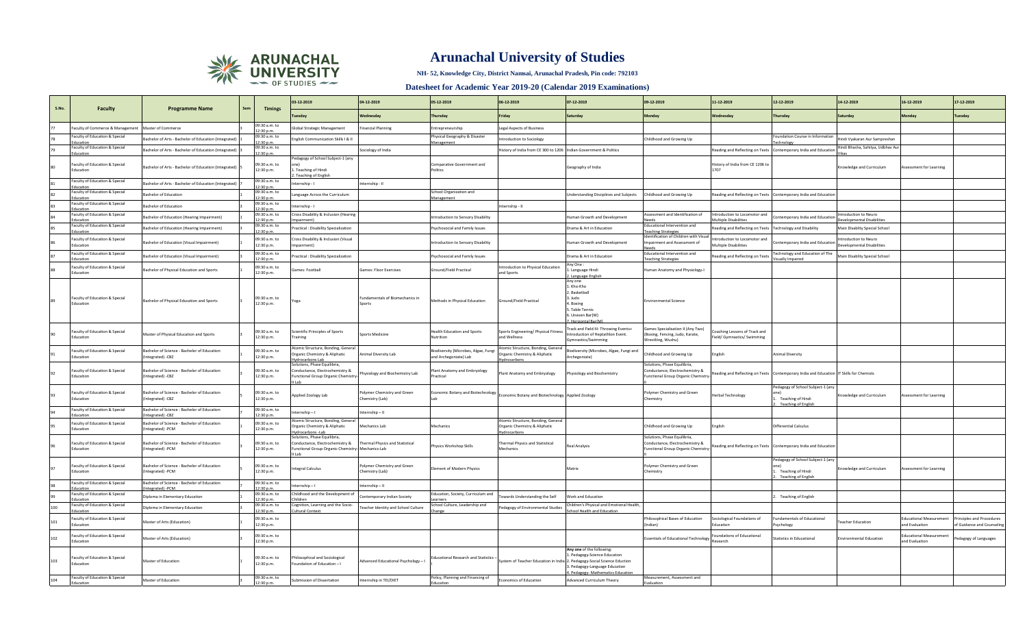

**NH- 52, Knowledge City, District Namsai, Arunachal Pradesh, Pin code: 792103**

| S.No |                                                               |                                                                       |                                          | 03-12-2019                                                                                                          | 04-12-2019                                     | 05-12-2019                                                    | 06-12-2019                                                                          | 07-12-2019                                                                                                                                                                                                    | 09-12-2019                                                                                            | 11-12-2019                                                 | 12-12-2019                                                                              | 14-12-2019                                                 | 16-12-2019                                       | 17-12-2019                                             |
|------|---------------------------------------------------------------|-----------------------------------------------------------------------|------------------------------------------|---------------------------------------------------------------------------------------------------------------------|------------------------------------------------|---------------------------------------------------------------|-------------------------------------------------------------------------------------|---------------------------------------------------------------------------------------------------------------------------------------------------------------------------------------------------------------|-------------------------------------------------------------------------------------------------------|------------------------------------------------------------|-----------------------------------------------------------------------------------------|------------------------------------------------------------|--------------------------------------------------|--------------------------------------------------------|
|      | Faculty                                                       | <b>Programme Name</b>                                                 | <b>Timings</b>                           |                                                                                                                     | Wednesdav                                      | hursdav                                                       | Friday                                                                              | Saturday                                                                                                                                                                                                      |                                                                                                       | <b>Wednesda</b>                                            | <b>Thursday</b>                                                                         | Saturday                                                   | Monda                                            | <b>Fuesday</b>                                         |
|      | Faculty of Commerce & Management                              | Master of Commerce                                                    | 9:30 a.m. to<br>2:30 p.m.                | lobal Strategic Management                                                                                          | <b>Financial Planning</b>                      | ntrepreneurship                                               | <b>Legal Aspects of Business</b>                                                    |                                                                                                                                                                                                               |                                                                                                       |                                                            |                                                                                         |                                                            |                                                  |                                                        |
|      | Faculty of Education & Special<br>ducation                    | achelor of Arts - Bachelor of Education (Integrated                   | 9:30 a.m. to<br>2:30 p.m.                | inglish Communication Skills I & II                                                                                 |                                                | Physical Geography & Disaster<br>Management                   | <b>Introduction to Sociology</b>                                                    |                                                                                                                                                                                                               | hildhood and Growing Up                                                                               |                                                            | Foundation Course in Information<br>echnology                                           | Hindi Vyakaran Aur Sampreshan                              |                                                  |                                                        |
|      | aculty of Education & Special                                 | Bachelor of Arts - Bachelor of Education (Integrated                  | 9:30 a.m. to                             |                                                                                                                     | Sociology of India                             |                                                               | History of India from CE 300 to 1206 Indian Government & Politics                   |                                                                                                                                                                                                               |                                                                                                       | Reading and Reflecting on Texts                            | Contemporary India and Education                                                        | Hindi Bhasha, Sahitya, Udbhav Aur                          |                                                  |                                                        |
|      | ducation<br>Faculty of Education & Special                    |                                                                       | 2:30 p.m.<br>9:30 a.m. to                | edagogy of School Subject-1 (any                                                                                    |                                                | Comparative Government and                                    |                                                                                     |                                                                                                                                                                                                               |                                                                                                       | listory of India from CE 1206 to                           |                                                                                         | Vikas                                                      |                                                  |                                                        |
|      | Education                                                     | achelor of Arts - Bachelor of Education (Integrated                   | 2:30 p.m.                                | Teaching of Hindi<br>. Teaching of English                                                                          |                                                | olitics                                                       |                                                                                     | Geography of India                                                                                                                                                                                            |                                                                                                       | 1707                                                       |                                                                                         | Knowledge and Curriculum                                   | Assessment for Learning                          |                                                        |
|      | Faculty of Education & Special                                | achelor of Arts - Bachelor of Education (Integrated)                  | $9:30 a.m.$ to<br>2:30 p.m.              | ternship - I                                                                                                        | nternship - II                                 |                                                               |                                                                                     |                                                                                                                                                                                                               |                                                                                                       |                                                            |                                                                                         |                                                            |                                                  |                                                        |
|      | Faculty of Education & Special<br>ducatio                     | Bachelor of Education                                                 | 9:30 a.m. to<br>2:30 p.m.                | anguage Across the Curriculum                                                                                       |                                                | <b>School Organization and</b><br>Management                  |                                                                                     | Understanding Disciplines and Subjects                                                                                                                                                                        | Childhood and Growing Up                                                                              |                                                            | Reading and Reflecting on Texts Contemporary India and Education                        |                                                            |                                                  |                                                        |
|      | Faculty of Education & Special<br>ducation                    | achelor of Education                                                  | 9:30 a.m. to<br>2:30 p.m.                | ternship -                                                                                                          |                                                |                                                               | nternshin - II                                                                      |                                                                                                                                                                                                               |                                                                                                       |                                                            |                                                                                         |                                                            |                                                  |                                                        |
|      | Faculty of Education & Special                                | Bachelor of Education (Hearing Impairment)                            | 9:30 a.m. to                             | Cross Disability & Inclusion (Hearing                                                                               |                                                | ntroduction to Sensory Disability                             |                                                                                     | <b>Human Growth and Development</b>                                                                                                                                                                           | Assessment and Identification of                                                                      | ntroduction to Locomotor and                               | Contemporary India and Education                                                        | Introduction to Neuro                                      |                                                  |                                                        |
|      | ducation<br>Faculty of Education & Special                    | Bachelor of Education (Hearing Impairment)                            | 2:30 p.m.<br>9:30 a.m. to                | npairment)<br>ractical: Disability Specialization                                                                   |                                                | Psychosocial and Family Issues                                |                                                                                     | Drama & Art in Education                                                                                                                                                                                      | <b>Need:</b><br>Educational Intervention and                                                          | Iultiple Disabilitie:<br>Reading and Reflecting on Texts   | <b>Technology and Disability</b>                                                        | Developmental Disabilitie<br>Main Disablity Special School |                                                  |                                                        |
|      | ducation                                                      |                                                                       | :30 p.m                                  |                                                                                                                     |                                                |                                                               |                                                                                     |                                                                                                                                                                                                               | <b>Teaching Strategies</b><br>dentification of Children with Visual                                   |                                                            |                                                                                         |                                                            |                                                  |                                                        |
|      | aculty of Education & Special<br>Education                    | achelor of Education (Visual Impairment)                              | $9:30$ a.m. to<br>2:30 p.m.              | cross Disability & Inclusion (Visual<br>npairmentl                                                                  |                                                | ntroduction to Sensory Disability                             |                                                                                     | luman Growth and Development                                                                                                                                                                                  | npairment and Assessment of                                                                           | roduction to Locomotor and<br>Multiple Disabilities        | ontemporary India and Education                                                         | Introduction to Neuro<br><b>Developmental Disabilities</b> |                                                  |                                                        |
|      | Faculty of Education & Special                                | achelor of Education (Visual Impairment)                              | 9:30 a.m. to                             | ractical : Disability Specialization                                                                                |                                                | Psychosocial and Family Issues                                |                                                                                     | Drama & Art in Education                                                                                                                                                                                      | Educational Intervention and                                                                          | Reading and Reflecting on Texts                            | <b>Technology and Education of The</b>                                                  | Main Disablity Special School                              |                                                  |                                                        |
|      | :ducatio<br>Faculty of Education & Special                    |                                                                       | 2:30 p.m.<br>09:30 a.m. to               |                                                                                                                     |                                                |                                                               | Introduction to Physical Education                                                  | Any One                                                                                                                                                                                                       | <b>Feaching Strategies</b>                                                                            |                                                            | isually Impairec                                                                        |                                                            |                                                  |                                                        |
|      | Education                                                     | achelor of Physical Education and Sports                              | 12:30 p.m.                               | ames: Football                                                                                                      | <b>Games: Floor Exercises</b>                  | Ground/Field Practical                                        | and Sports                                                                          | L. Language Hindi<br>2. Language English                                                                                                                                                                      | luman Anatomy and Physiology-I                                                                        |                                                            |                                                                                         |                                                            |                                                  |                                                        |
|      | Faculty of Education & Special<br><b>Education</b>            | Bachelor of Physical Education and Sports                             | 09:30 a.m. to<br>12:30 p.m.              | oga                                                                                                                 | Fundamentals of Biomechanics in<br>Snorts      | Methods in Physical Education                                 | Ground/Field Practica                                                               | Any one<br>1. Kho-Kho<br><b>Baskethal</b><br>3. Judo<br>4. Boxing<br>5. Table Tennis<br>6. Uneven Bar(W)<br>Horizontal Bar(N                                                                                  | <b>Environmental Science</b>                                                                          |                                                            |                                                                                         |                                                            |                                                  |                                                        |
|      | Faculty of Education & Special<br>Education                   | Master of Physical Education and Sports                               | 9:30 a.m. to<br>2:30 p.m.                | cientific Principles of Sports<br>raining                                                                           | <b>Sports Medicine</b>                         | lealth Education and Sport:<br>lutrition                      | Sports Engineering/ Physical Fitness<br>and Wellness                                | Track and Field III: Throwing Events+<br>Introduction of Heptathlon Event.<br>Symnastics/Swimming                                                                                                             | Games Specialisation II (Any Two)<br>(Boxing, Fencing, Judo, Karate,<br>Wrestliing, Wushu)            | oaching Lessons of Track and<br>ield/ Gymnastics/ Swimming |                                                                                         |                                                            |                                                  |                                                        |
|      | Faculty of Education & Special<br>ducation                    | achelor of Science - Bachelor of Education<br>tegrated) -CBZ          | 9:30 a.m. to<br>2:30 p.m.                | tomic Structure, Bonding, General<br>Organic Chemistry & Aliphatic<br>lydrocarbons Lab                              | Animal Diversity Lab                           | Biodiversity (Microbes, Algae, Fungi<br>and Archegoniate) Lab | Atomic Structure, Bonding, General<br>Organic Chemistry & Aliphatic<br>Hydrocarbons | Biodiversity (Microbes, Algae, Fungi and<br>Archegoniate)                                                                                                                                                     | hildhood and Growing Up                                                                               | English                                                    | <b>Animal Diversity</b>                                                                 |                                                            |                                                  |                                                        |
|      | Faculty of Education & Special<br>ducation                    | Bachelor of Science - Bachelor of Education<br>ntegrated) -CBZ        | $9:30 a.m.$ to<br>2:30 p.m.              | olutions, Phase Equilibria,<br>Conductance, Electrochemistry &<br>unctional Group Organic Chemistry-                | Physiology and Biochemistry Lab                | Plant Anatomy and Embryology<br>ractical                      | Plant Anatomy and Embryology                                                        | hysiology and Biochemistry                                                                                                                                                                                    | solutions, Phase Equilibria,<br>Conductance, Electrochemistry &<br>unctional Group Organic Chemistry  |                                                            | Reading and Reflecting on Texts Contemporary India and Education IT Skills for Chemists |                                                            |                                                  |                                                        |
|      | Faculty of Education & Special                                | achelor of Science - Bachelor of Education                            | 9:30 a.m. to                             |                                                                                                                     | Polymer Chemistry and Green                    |                                                               |                                                                                     |                                                                                                                                                                                                               | Polymer Chemistry and Green                                                                           |                                                            | Pedagogy of School Subject-1 (any                                                       |                                                            |                                                  |                                                        |
|      | <b>Education</b>                                              | ntegrated) -CBZ                                                       | 12:30 p.m.                               | pplied Zoology Lab                                                                                                  | Chemistry (Lab)                                |                                                               | Economic Botany and Biotechnology Economic Botany and Biotechnology Applied Zoology |                                                                                                                                                                                                               | :hemistrv                                                                                             | <b>Herbal Technology</b>                                   | Teaching of Hindi<br>Teaching of English                                                | nowledge and Curriculum                                    | Assessment for Learning                          |                                                        |
|      | Faculty of Education & Special                                | achelor of Science - Bachelor of Education<br>ntegrated) -CBZ         | 9:30 a.m. to<br>:30 p.m                  | iternship-I                                                                                                         | nternship - II                                 |                                                               |                                                                                     |                                                                                                                                                                                                               |                                                                                                       |                                                            |                                                                                         |                                                            |                                                  |                                                        |
|      | Faculty of Education & Special                                | Bachelor of Science - Bachelor of Education                           | 9:30 a.m. to                             | tomic Structure, Bonding, General<br>Organic Chemistry & Aliphatic                                                  | <b>Mechanics Lab</b>                           | Mechanics                                                     | Atomic Structure, Bonding, General<br>Organic Chemistry & Aliphatic                 |                                                                                                                                                                                                               | Childhood and Growing Up                                                                              | English                                                    | <b>Differential Calculus</b>                                                            |                                                            |                                                  |                                                        |
|      | Education                                                     | ntegrated) -PCM                                                       | 2:30 p.m.                                | Hydrocarbons-Lab                                                                                                    |                                                |                                                               | <b>Hydrocarbons</b>                                                                 |                                                                                                                                                                                                               |                                                                                                       |                                                            |                                                                                         |                                                            |                                                  |                                                        |
|      | Faculty of Education & Special<br>Education                   | Bachelor of Science - Bachelor of Education<br>ntegrated) -PCM        | 9:30 a.m. to<br>2:30 p.m.                | iolutions, Phase Equilibria,<br>Conductance, Electrochemistry &<br>unctional Group Organic Chemistry- Mechanics-Lab | <b>Thermal Physics and Statistical</b>         | hysics Workshop Skills                                        | <b>Thermal Physics and Statistical</b><br>Mechanics                                 | <b>Real Analysis</b>                                                                                                                                                                                          | Solutions, Phase Equilibria,<br>Conductance, Electrochemistry &<br>unctional Group Organic Chemistry- |                                                            | Reading and Reflecting on Texts Contemporary India and Education                        |                                                            |                                                  |                                                        |
|      | <b>Faculty of Education &amp; Special</b><br>ducation         | <b>Rachelor of Science - Bachelor of Education</b><br>ntegrated) -PCM | 19:30 a.m. to<br>2:30 p.m.               | ntegral Calculus                                                                                                    | Polymer Chemistry and Green<br>Chemistry (Lab) | Element of Modern Physics                                     |                                                                                     | Matrix                                                                                                                                                                                                        | Polymer Chemistry and Green<br>hemistry                                                               |                                                            | Pedagogy of School Subject-1 (any<br>Teaching of Hindi<br>Teaching of English           | Knowledge and Curriculum                                   | Assessment for Learning                          |                                                        |
|      | Faculty of Education & Special<br>ducation                    | Bachelor of Science - Bachelor of Education<br>ntegrated) -PCM        | 09:30 a.m. to<br>:30 p.m                 | ternship-I                                                                                                          | Internship-II                                  |                                                               |                                                                                     |                                                                                                                                                                                                               |                                                                                                       |                                                            |                                                                                         |                                                            |                                                  |                                                        |
|      | aculty of Education & Special<br>:ducation                    | iploma in Elementary Education                                        | 9:30 a.m. to<br>2:30 p.m.                | hildhood and the Development of<br>hildren                                                                          | Contemporary Indian Society                    | Education, Society, Curriculum and<br>earners                 | Towards Understanding the Self                                                      | Work and Education                                                                                                                                                                                            |                                                                                                       |                                                            | <b>Teaching of English</b>                                                              |                                                            |                                                  |                                                        |
|      | aculty of Education & Special                                 | iploma in Elementary Education                                        | 9:30 a.m. to                             | ognition, Learning and the Socio-                                                                                   | Teacher Identity and School Culture            | chool Culture, Leadership and                                 | Pedagogy of Environmental Studies                                                   | hildren's Physical and Emotional Health                                                                                                                                                                       |                                                                                                       |                                                            |                                                                                         |                                                            |                                                  |                                                        |
|      | ducatio<br>Faculty of Education & Special<br><b>Education</b> | Master of Arts (Education)                                            | 2:30 p.m.<br>09:30 a.m. to<br>12:30 p.m. | Cultural Context                                                                                                    |                                                |                                                               |                                                                                     | chool Health and Education                                                                                                                                                                                    | hilosophical Bases of Education<br>(Indian)                                                           | Sociological Foundations of<br>Education                   | Fundamentals of Educational<br>Psychology                                               | <b>Teacher Education</b>                                   | <b>Educational Measurement</b><br>and Evaluation | rinciples and Procedures<br>of Guidance and Counseling |
| 102  | Faculty of Education & Special<br>Education                   | Master of Arts (Education)                                            | 09:30 a.m. to<br>12:30 p.m.              |                                                                                                                     |                                                |                                                               |                                                                                     |                                                                                                                                                                                                               | Essentials of Educational Technology Research                                                         | Foundations of Educational                                 | <b>Statistics in Educational</b>                                                        | <b>Environmental Education</b>                             | <b>Educational Measurement</b><br>and Evaluation | Pedagogy of Languages                                  |
| 103  | Faculty of Education & Special<br>Education                   | Master of Education                                                   | 09:30 a.m. to<br>12:30 p.m.              | hilosophical and Sociological<br>Foundation of Education - I                                                        | Advanced Educational Psychology-I              | Educational Research and Statistics-                          |                                                                                     | Any one of the following:<br>1. Pedagogy-Science Education<br>System of Teacher Education in India 2. Pedagogy-Social Science Eduction<br>3. Pedagogy-Language Education<br>. Pedagogy- Mathematics Education |                                                                                                       |                                                            |                                                                                         |                                                            |                                                  |                                                        |
| 104  | Faculty of Education & Special                                | Master of Education                                                   | 9:30 a.m. to<br>2:30n.m                  | ubmission of Dissertation                                                                                           | Internship in TEI/DIET                         | Policy, Planning and Financing of<br>ucation                  | <b>Economics of Education</b>                                                       | <b>Advanced Curriculum Theory</b>                                                                                                                                                                             | Measurement, Assessment and                                                                           |                                                            |                                                                                         |                                                            |                                                  |                                                        |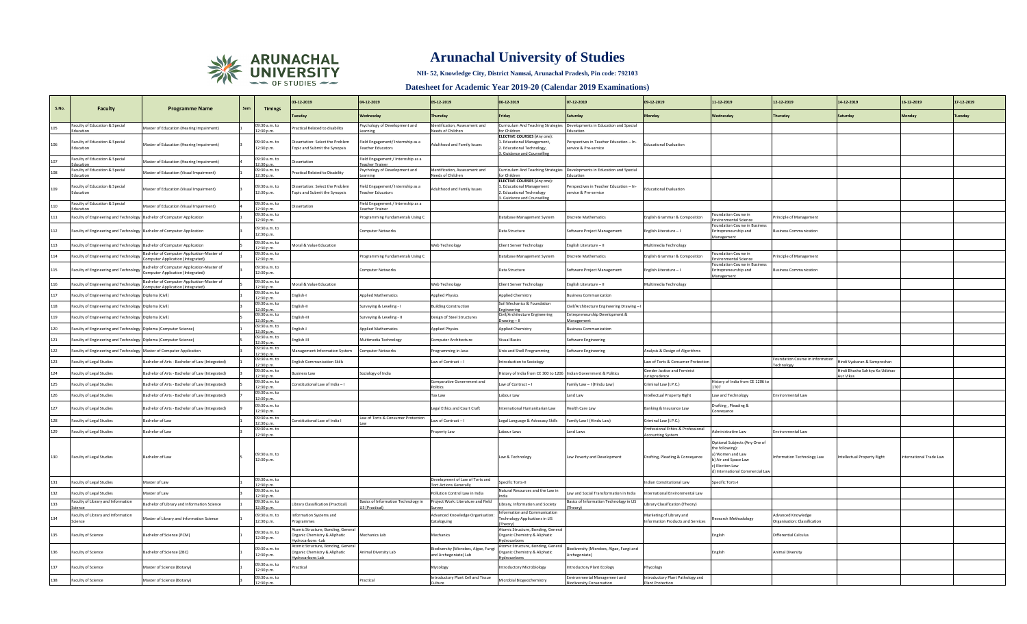

**NH- 52, Knowledge City, District Namsai, Arunachal Pradesh, Pin code: 792103**

| S.No. |                                                                        |                                                                                 |                                          | 03-12-2019                                                                             | 04-12-2019                                                       | 05-12-2019                                                      | 06-12-2019                                                                                  | 07-12-2019                                                                             | 09-12-2019                                                     | 11-12-2019                                                                                                                                         | 12-12-2019                                         | 14-12-2019                                  | 16-12-2019              | 17-12-2019    |
|-------|------------------------------------------------------------------------|---------------------------------------------------------------------------------|------------------------------------------|----------------------------------------------------------------------------------------|------------------------------------------------------------------|-----------------------------------------------------------------|---------------------------------------------------------------------------------------------|----------------------------------------------------------------------------------------|----------------------------------------------------------------|----------------------------------------------------------------------------------------------------------------------------------------------------|----------------------------------------------------|---------------------------------------------|-------------------------|---------------|
|       | <b>Faculty</b>                                                         | <b>Programme Name</b>                                                           | <b>Timings</b>                           |                                                                                        | Vednesdav                                                        | <b>Thursday</b>                                                 |                                                                                             | Saturday                                                                               |                                                                | <b>Wednesda</b>                                                                                                                                    | Thursday                                           | Saturda <sup>®</sup>                        |                         | <b>Tuesda</b> |
| 105   | Faculty of Education & Special<br>Education                            | Master of Education (Hearing Impairment)                                        | 09:30 a.m. to<br>2:30 p.m.               | ractical Related to disability                                                         | Psychology of Development and<br>earning                         | dentification, Assessment and<br><b>Needs of Children</b>       | for Children                                                                                | Curriculum And Teaching Strategies   Developments in Education and Special<br>ducation |                                                                |                                                                                                                                                    |                                                    |                                             |                         |               |
| 106   | Faculty of Education & Special<br>Education                            | Master of Education (Hearing Impairment)                                        | 09:30 a.m. to<br>12:30 p.m.              | lissertation: Select the Problem<br>opic and Submit the Synopsis                       | Field Engagement/ Internship as a<br><b>Teacher Educators</b>    | Adulthood and Family Issues                                     | ELECTIVE COURSES (Any one):<br>. Educational Management,<br>2. Educational Technology,      | Perspectives in Teacher Education - In-<br>service & Pre-service                       | <b>Educational Evaluation</b>                                  |                                                                                                                                                    |                                                    |                                             |                         |               |
|       | Faculty of Education & Special                                         | Master of Education (Hearing Impairment)                                        | 09:30 a.m. to                            | issertation                                                                            | Field Engagement / Internship as a                               |                                                                 | 3. Guidance and Counselling                                                                 |                                                                                        |                                                                |                                                                                                                                                    |                                                    |                                             |                         |               |
| 108   | Education<br>Faculty of Education & Special                            | Master of Education (Visual Impairment)                                         | 12:30 p.m.<br>09:30 a.m. to<br>2:30 p.m. | ractical Related to Disability                                                         | <b>Teacher Trainer</b><br>sychology of Development and<br>arning | dentification, Assessment and<br><b>Needs of Children</b>       | for Children                                                                                | Curriculum And Teaching Strategies   Developments in Education and Special<br>ducation |                                                                |                                                                                                                                                    |                                                    |                                             |                         |               |
|       | aculty of Education & Special<br><b>Education</b>                      | Master of Education (Visual Impairment)                                         | 09:30 a.m. to<br>12:30 p.m.              | issertation: Select the Problem<br>opic and Submit the Synopsis                        | Field Engagement/Internship as a<br><b>Teacher Educators</b>     | dulthood and Family Issues                                      | <b>ELECTIVE COURSES (Any one):</b><br>. Educational Management<br>2. Educational Technology | erspectives in Teacher Education - In-<br>service & Pre-service                        | <b>Educational Evaluation</b>                                  |                                                                                                                                                    |                                                    |                                             |                         |               |
| 110   | Faculty of Education & Special                                         | Master of Education (Visual Impairment)                                         | 09:30 a.m. to                            | issertation                                                                            | Field Engagement / Internship as a                               |                                                                 | 3. Guidance and Counselling                                                                 |                                                                                        |                                                                |                                                                                                                                                    |                                                    |                                             |                         |               |
|       | Faculty of Engineering and Technology Bachelor of Computer Application |                                                                                 | 2:30 p.m.<br>09:30 a.m. to               |                                                                                        | Feacher Trainer<br>Programming Fundamentals Using C              |                                                                 | Database Management System                                                                  | <b>Discrete Mathematics</b>                                                            | English Grammar & Composition                                  | oundation Course in                                                                                                                                | Principle of Management                            |                                             |                         |               |
| 112   | Faculty of Engineering and Technology Bachelor of Computer Application |                                                                                 | 2:30 p.m.<br>09:30 a.m. to<br>12:30 p.m. |                                                                                        | <b>Computer Networks</b>                                         |                                                                 | Data Structure                                                                              | Software Project Management                                                            | English Literature - I                                         | nvironmental Science<br>Foundation Course in Business<br>Entrepreneurship and                                                                      | <b>Business Communication</b>                      |                                             |                         |               |
| 113   | Faculty of Engineering and Technology Bachelor of Computer Application |                                                                                 | 09:30 a.m. to<br>12:30 p.m.              | <b>Toral &amp; Value Education</b>                                                     |                                                                  | Web Technology                                                  | Client Server Technology                                                                    | inglish Literature - II                                                                | Multimedia Technology                                          | Management                                                                                                                                         |                                                    |                                             |                         |               |
| 114   | Faculty of Engineering and Technology                                  | Bachelor of Computer Application-Master of<br>Computer Application (Integrated) | 09:30 a.m. to<br>12:30 p.m.              |                                                                                        | Programming Fundamentals Using C                                 |                                                                 | Database Management System                                                                  | Discrete Mathematics                                                                   | English Grammar & Composition                                  | oundation Course in<br>wironmental Science                                                                                                         | Principle of Management                            |                                             |                         |               |
| 115   | Faculty of Engineering and Technology                                  | Bachelor of Computer Application-Master of<br>Computer Application (Integrated) | 09:30 a.m. to<br>12:30 p.m.              |                                                                                        | <b>Computer Networks</b>                                         |                                                                 | Data Structure                                                                              | Software Project Management                                                            | English Literature - I                                         | <b>Foundation Course in Business</b><br>Entrepreneurship and                                                                                       | <b>Business Communication</b>                      |                                             |                         |               |
| 116   | Faculty of Engineering and Technology                                  | achelor of Computer Application-Master of<br>omputer Application (Integrated)   | 09:30 a.m. to<br>12:30 p.m.              | <b>Toral &amp; Value Education</b>                                                     |                                                                  | Web Technology                                                  | Client Server Technology                                                                    | English Literature - II                                                                | Multimedia Technology                                          | Management                                                                                                                                         |                                                    |                                             |                         |               |
| 117   | Faculty of Engineering and Technology Diploma (Civil)                  |                                                                                 | 09:30 a.m. to<br>12:30 p.m.              | nglish-l                                                                               | <b>Applied Mathematics</b>                                       | <b>Applied Physics</b>                                          | <b>Applied Chemistry</b>                                                                    | <b>Business Communication</b>                                                          |                                                                |                                                                                                                                                    |                                                    |                                             |                         |               |
| 118   | Faculty of Engineering and Technology Diploma (Civil)                  |                                                                                 | 09:30 a.m. to<br>12:30 p.m.              | nglish-II                                                                              | Surveying & Leveling - I                                         | <b>Building Construction</b>                                    | Soil Mechanics & Foundation<br>Engineering                                                  | Civil/Architecture Engineering Drawing-                                                |                                                                |                                                                                                                                                    |                                                    |                                             |                         |               |
| 119   | Faculty of Engineering and Technology Diploma (Civil)                  |                                                                                 | 09:30 a.m. to<br>2:30 p.m.               | nglish-III                                                                             | Surveying & Leveling - II                                        | Design of Steel Structures                                      | Civil/Architecture Engineering<br>Drawing - II                                              | Entrepreneurship Development &<br>Management                                           |                                                                |                                                                                                                                                    |                                                    |                                             |                         |               |
| 120   | Faculty of Engineering and Technology Diploma (Computer Science)       |                                                                                 | 09:30 a.m. to<br>12:30 p.m.              | nglish-I                                                                               | <b>Applied Mathematics</b>                                       | <b>Applied Physics</b>                                          | Applied Chemistry                                                                           | <b>Business Communication</b>                                                          |                                                                |                                                                                                                                                    |                                                    |                                             |                         |               |
| 121   | Faculty of Engineering and Technology Diploma (Computer Science)       |                                                                                 | 09:30 a.m. to<br>12:30 p.m.              | nglish-III                                                                             | Multimedia Technology                                            | <b>Computer Architecture</b>                                    | <b>Visual Basics</b>                                                                        | Software Engineering                                                                   |                                                                |                                                                                                                                                    |                                                    |                                             |                         |               |
| 122   | Faculty of Engineering and Technology Master of Computer Application   |                                                                                 | 09:30 a.m. to<br>12:30 p.m.              | lanagement Information System                                                          | <b>Computer Networks</b>                                         | Programming in Java                                             | Unix and Shell Programming                                                                  | Software Engineering                                                                   | Analysis & Design of Algorithms                                |                                                                                                                                                    |                                                    |                                             |                         |               |
| 123   | <b>Faculty of Legal Studies</b>                                        | Bachelor of Arts - Bachelor of Law (Integrated)                                 | 09:30 a.m. to<br>12:30 p.m.              | nglish Communication Skills                                                            |                                                                  | Law of Contract - I                                             | Introduction to Sociology                                                                   |                                                                                        | Law of Torts & Consumer Protection                             |                                                                                                                                                    | Foundation Course in Information<br>Technology     | Hindi Vyakaran & Sampreshan                 |                         |               |
| 124   | <b>Faculty of Legal Studies</b>                                        | Bachelor of Arts - Bachelor of Law (Integrated)                                 | 09:30 a.m. to<br>2:30 p.m.               | usiness Law                                                                            | Sociology of India                                               |                                                                 | listory of India from CE 300 to 1206 Indian Government & Politics                           |                                                                                        | Gender Justice and Feminist<br>Jurisprudence                   |                                                                                                                                                    |                                                    | lindi Bhasha Sahitya Ka Udbhav<br>Aur Vikas |                         |               |
| 125   | <b>Faculty of Legal Studies</b>                                        | Bachelor of Arts - Bachelor of Law (Integrated)                                 | 09:30 a.m. to<br>12:30 p.m.              | onstitutional Law of India - I                                                         |                                                                  | Comparative Government and<br>Politic                           | Law of Contract-                                                                            | Family Law - I (Hindu Law)                                                             | Criminal Law (I.P.C.)                                          | History of India from CE 1206 to<br>707                                                                                                            |                                                    |                                             |                         |               |
| 126   | <b>Faculty of Legal Studies</b>                                        | Bachelor of Arts - Bachelor of Law (Integrated)                                 | 09:30 a.m. to<br>12:30 p.m.              |                                                                                        |                                                                  | Tax Law                                                         | Labour Law                                                                                  | Land Law                                                                               | Intellectual Property Right                                    | Law and Technology                                                                                                                                 | nvironmental Lav                                   |                                             |                         |               |
| 127   | Faculty of Legal Studies                                               | Bachelor of Arts - Bachelor of Law (Integrated)                                 | 09:30 a.m. to<br>12:30 p.m.              |                                                                                        |                                                                  | Legal Ethics and Court Craft                                    | nternational Humanitarian Law                                                               | Health Care Law                                                                        | Banking & Insurance Law                                        | Drafting, Pleading &<br>Conveyance                                                                                                                 |                                                    |                                             |                         |               |
| 128   | <b>Faculty of Legal Studies</b>                                        | Bachelor of Law                                                                 | 09:30 a.m. to<br>12:30 p.m.              | onstitutional Law of India I                                                           | Law of Torts & Consumer Protection                               | Law of Contract-                                                | Legal Language & Advocacy Skills                                                            | Family Law I (Hindu Law)                                                               | Criminal Law (I.P.C.)                                          |                                                                                                                                                    |                                                    |                                             |                         |               |
| 129   | <b>Faculty of Legal Studies</b>                                        | Bachelor of Law                                                                 | 09:30 a.m. to<br>2:30 p.m                |                                                                                        |                                                                  | roperty Law                                                     | Labour Laws                                                                                 | Land Laws                                                                              | Professional Ethics & Professional<br><b>Accounting System</b> | dministrative Law                                                                                                                                  | Invironmental Law                                  |                                             |                         |               |
| 130   | Faculty of Legal Studies                                               | Bachelor of Law                                                                 | $09:30 a.m.$ to<br>12:30 p.m.            |                                                                                        |                                                                  |                                                                 | Law & Technology                                                                            | Law Poverty and Development                                                            | Drafting, Pleading & Conveyance                                | Optional Subjects (Any One of<br>the following):<br>a) Women and Law<br>b) Air and Space Law<br>c) Election Law<br>d) International Commercial Law | Information Technology Law                         | <b>Intellectual Property Right</b>          | International Trade Law |               |
|       | <b>Faculty of Legal Studies</b>                                        | Master of Law                                                                   | 09:30 a.m. to<br>12:30 n.m.              |                                                                                        |                                                                  | evelopment of Law of Torts and<br><b>Tort Actions Generally</b> | Specific Torts-II                                                                           |                                                                                        | Indian Constitutional Law                                      | Specific Torts-I                                                                                                                                   |                                                    |                                             |                         |               |
| 132   | <b>Faculty of Legal Studies</b>                                        | Master of Law                                                                   | 09:30 a.m. to<br>12:30 p.m.              |                                                                                        |                                                                  | Pollution Control Law in India                                  | Natural Resources and the Law in                                                            | Law and Social Transformation in India                                                 | International Environmental Law                                |                                                                                                                                                    |                                                    |                                             |                         |               |
| 133   | Faculty of Library and Information                                     | Bachelor of Library and Information Science                                     | 09:30 a.m. to<br>2:30 p.m.               | ibrary Classification (Practical)                                                      | Basics of Information Technology in<br>S (Practical)             | Project Work: Literature and Field                              | Library, Information and Society                                                            | asics of Information Technology in LIS<br>[heory]                                      | Library Classification (Theory)                                |                                                                                                                                                    |                                                    |                                             |                         |               |
|       | Faculty of Library and Information<br>Science                          | Master of Library and Information Science                                       | 09:30 a.m. to<br>12:30 p.m.              | formation Systems and<br>rogrammes                                                     |                                                                  | Advanced Knowledge Organisation:<br>Cataloguing                 | Information and Communication<br><b>Technology Applications in LIS</b><br>Theory)           |                                                                                        | Marketing of Library and<br>Information Products and Services  | esearch Methodology                                                                                                                                | Advanced Knowledge<br>Organisation: Classification |                                             |                         |               |
| 135   | Faculty of Science                                                     | Bachelor of Science (PCM)                                                       | 09:30 a.m. to<br>12:30 p.m.              | tomic Structure, Bonding, General<br>Irganic Chemistry & Aliphatic<br>lydrocarbons-Lab | Mechanics Lab                                                    | Mechanics                                                       | Atomic Structure, Bonding, General<br>Organic Chemistry & Aliphatic<br>Hydrocarbons         |                                                                                        |                                                                | English                                                                                                                                            | Differential Calculus                              |                                             |                         |               |
| 136   | Faculty of Science                                                     | Bachelor of Science (ZBC)                                                       | $09:30 a.m.$ to<br>12:30 p.m.            | omic Structure, Bonding, General<br>Irganic Chemistry & Aliphatic<br>lydrocarbons Lat  | Animal Diversity Lab                                             | Biodiversity (Microbes, Algae, Fung<br>and Archegoniate) Lab    | Atomic Structure, Bonding, General<br>Organic Chemistry & Aliphatic<br>Hydrocarbons         | Biodiversity (Microbes, Algae, Fungi and<br>Archegoniate)                              |                                                                | English                                                                                                                                            | <b>Animal Diversity</b>                            |                                             |                         |               |
|       | Faculty of Science                                                     | Master of Science (Botany)                                                      | 09:30 a.m. to<br>12:30 p.m.              | ractical                                                                               |                                                                  | Mycology                                                        | ntroductory Microbiology                                                                    | ntroductory Plant Ecology                                                              | hycology                                                       |                                                                                                                                                    |                                                    |                                             |                         |               |
| 138   | Faculty of Science                                                     | Master of Science (Botany)                                                      | 09:30 a.m. to<br>2:30 p.m.               |                                                                                        | Practical                                                        | ntroductory Plant Cell and Tissue<br>lture                      | Microbial Biogeochemistry                                                                   | Environmental Management and<br>odiversity Conservation                                | Introductory Plant Pathology and<br><b>Plant Protection</b>    |                                                                                                                                                    |                                                    |                                             |                         |               |